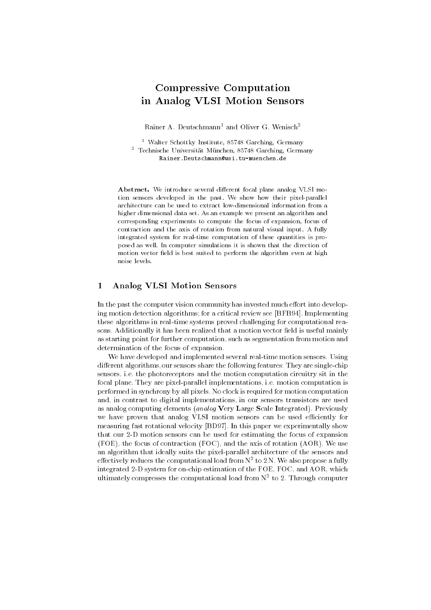# Compressive Computation in Analog VLSI Motion Sensors

Rainer A. Deutschmann<sup>1</sup> and Oliver G. Wenisch<sup>2</sup>

<sup>1</sup> Walter Schottky Institute, 85748 Garching, Germany <sup>2</sup> Technische Universitat Munchen, 85748 Garching, Germany Rainer.Deutschmann@wsi.tu-muenchen.de

Abstract. We introduce several different focal plane analog VLSI motion sensors developed in the past. We show how their pixel-parallel architecture can be used to extract low-dimensional information from a higher dimensional data set. As an example we present an algorithm and corresponding experiments to compute the focus of expansion, focus of contraction and the axis of rotation from natural visual input. A fully integrated system for real-time computation of these quantities is proposed as well. In computer simulations it is shown that the direction of motion vector field is best suited to perform the algorithm even at high noise levels

# 1 Analog VLSI Motion Sensors

In the past the computer vision community has invested much effort into developing motion detection algorithms; for a critical review see [BFB94]. Implementing these algorithms in real-time systems proved challenging for computational reasons. Additionally it has been realized that a motion vector field is useful mainly as starting point for further computation, such as segmentation from motion and determination of the focus of expansion.

We have developed and implemented several real-time motion sensors. Using different algorithms, our sensors share the following features: They are single-chip sensors, i.e. the photoreceptors and the motion computation circuitry sit in the focal plane. They are pixel-parallel implementations, i.e. motion computation is performed in synchrony by all pixels. No clock is required for motion computation and, in contrast to digital implementations, in our sensors transistors are used as analog computing elements (*analog* Very Large Scale Integrated). Previously we have proven that analog VLSI motion sensors can be used efficiently for measuring fast rotational velocity [BD97]. In this paper we experimentally show that our 2-D motion sensors can be used for estimating the focus of expansion (FOE), the focus of contraction (FOC), and the axis of rotation (AOR). We use an algorithm that ideally suits the pixel-parallel architecture of the sensors and effectively reduces the computational load from  $\mathrm{N}^+$  to 2 N. We also propose a fully integrated 2-D system for on-chip estimation of the FOE, FOC, and AOR, which ultimately compresses the computational load from N2 to 2. Through computer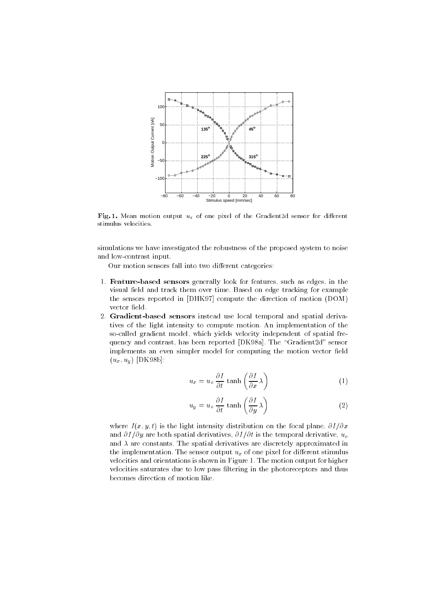

Fig. 1. Mean motion output  $u_x$  of one pixel of the Gradient2d sensor for different stimulus velocities.

simulations we have investigated the robustness of the proposed system to noise and low-contrast input.

Our motion sensors fall into two different categories:

- 1. Feature-based sensors generally look for features, such as edges, in the visual field and track them over time. Based on edge tracking for example the sensors reported in [DHK97] compute the direction of motion (DOM) vector field.
- 2. Gradient-based sensors instead use local temporal and spatial derivatives of the light intensity to compute motion. An implementation of the so-called gradient model, which yields velocity independent of spatial frequency and contrast, has been reported [DK98a]. The "Gradient2d" sensor implements an even simpler model for computing the motion vector field  $(u_x, u_y)$  [DK98b]:

$$
u_x = u_o \frac{\partial I}{\partial t} \tanh\left(\frac{\partial I}{\partial x}\lambda\right) \tag{1}
$$

$$
u_y = u_o \frac{\partial I}{\partial t} \tanh\left(\frac{\partial I}{\partial y}\lambda\right) \tag{2}
$$

where  $I(x, y, t)$  is the light intensity distribution on the focal plane,  $\partial I/\partial x$ and  $\partial I/\partial y$  are both spatial derivatives,  $\partial I/\partial t$  is the temporal derivative,  $u_o$ and  $\lambda$  are constants. The spatial derivatives are discretely approximated in the implementation. The sensor output  $u_x$  of one pixel for different stimulus velocities and orientations is shown in Figure 1. The motion output for higher velocities saturates due to low pass ltering in the photoreceptors and thus becomes direction of motion like.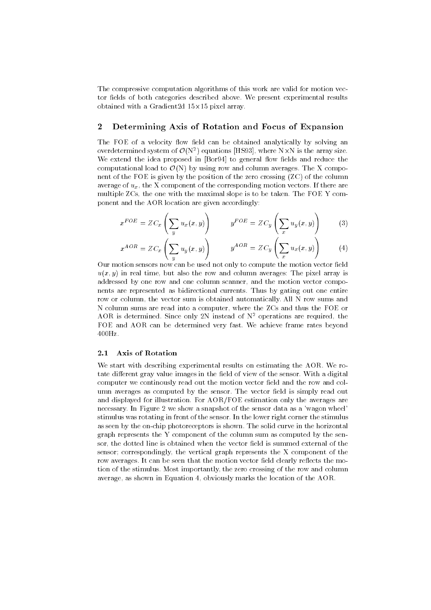The compressive computation algorithms of this work are valid for motion vector fields of both categories described above. We present experimental results obtained with a Gradient array of the Gradient Contract in

# 2 Determining Axis of Rotation and Focus of Expansion

The FOE of a velocity flow field can be obtained analytically by solving an overdetermined system of  $U(N^*)$  equations [HS93], where NXN is the array size. We extend the idea proposed in [Bor94] to general flow fields and reduce the computational load to  $\mathcal{O}(N)$  by using row and column averages. The X component of the FOE is given by the position of the zero crossing (ZC) of the column average of  $u_x$ , the X component of the corresponding motion vectors. If there are multiple ZCs, the one with the maximal slope is to be taken. The FOE Y component and the AOR location are given accordingly:

$$
x^{FOE} = ZC_x \left( \sum_y u_x(x, y) \right) \qquad y^{FOE} = ZC_y \left( \sum_x u_y(x, y) \right) \qquad (3)
$$

$$
x^{AOR} = ZC_x \left( \sum_y u_y(x, y) \right) \qquad y^{AOR} = ZC_y \left( \sum_x u_x(x, y) \right) \tag{4}
$$

Our motion sensors now can be used not only to compute the motion vector field  $u(x, y)$  in real time, but also the row and column averages: The pixel array is addressed by one row and one column scanner, and the motion vector components are represented as bidirectional currents. Thus by gating out one entire row or column, the vector sum is obtained automatically. All N row sums and N column sums are read into a computer, where the ZCs and thus the FOE or AOR is determined. Since only 2N instead of  $N^2$  operations are required, the FOE and AOR can be determined very fast. We achieve frame rates beyond

#### 2.1 Axis of Rotation

We start with describing experimental results on estimating the AOR. We rotate different gray value images in the field of view of the sensor. With a digital computer we continously read out the motion vector field and the row and column averages as computed by the sensor. The vector field is simply read out and displayed for illustration. For AOR/FOE estimation only the averages are necessary. In Figure 2 we show a snapshot of the sensor data as a 'wagon wheel' stimulus was rotating in front of the sensor. In the lower right corner the stimulus as seen by the on-chip photoreceptors is shown. The solid curve in the horizontal graph represents the Y component of the column sum as computed by the sensor, the dotted line is obtained when the vector field is summed external of the sensor; correspondingly, the vertical graph represents the X component of the row averages. It can be seen that the motion vector field clearly reflects the motion of the stimulus. Most importantly, the zero crossing of the row and column average, as shown in Equation 4, obviously marks the location of the AOR.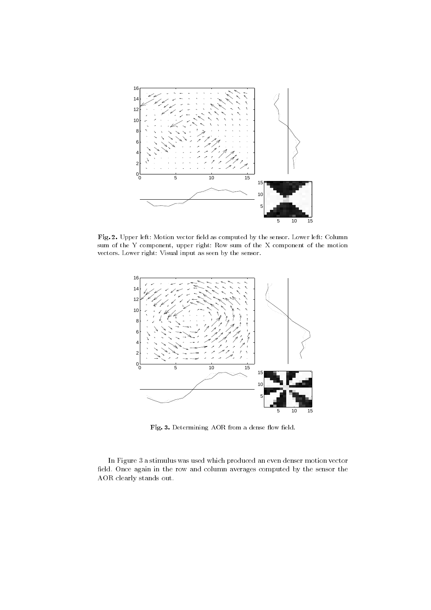

Fig. 2. Upper left: Motion vector field as computed by the sensor. Lower left: Column sum of the Y component, upper right: Row sum of the X component of the motion vectors. Lower right: Visual input as seen by the sensor.



Fig. 3. Determining AOR from a dense flow field.

In Figure 3 a stimulus was used which produced an even denser motion vector field. Once again in the row and column averages computed by the sensor the AOR clearly stands out.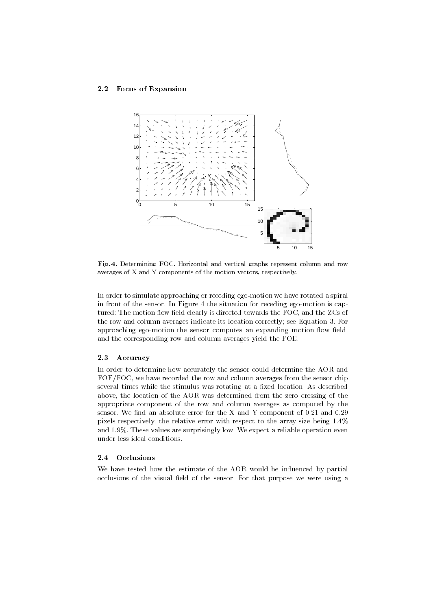#### 2.2 Focus of Expansion



Fig. 4. Determining FOC. Horizontal and vertical graphs represent column and row averages of X and Y components of the motion vectors, respectively.

In order to simulate approaching or receding ego-motion we have rotated a spiral in front of the sensor. In Figure 4 the situation for receding ego-motion is captured: The motion flow field clearly is directed towards the FOC, and the ZCs of the row and column averages indicate its location correctly; see Equation 3. For approaching ego-motion the sensor computes an expanding motion flow field, and the corresponding row and column averages yield the FOE.

### 2.3 Accuracy

In order to determine how accurately the sensor could determine the AOR and FOE/FOC, we have recorded the row and column averages from the sensor chip several times while the stimulus was rotating at a fixed location. As described above, the location of the AOR was determined from the zero crossing of the appropriate component of the row and column averages as computed by the sensor. We find an absolute error for the X and Y component of  $0.21$  and  $0.29$ pixels respectively, the relative error with respect to the array size being 1.4% and 1.9%. These values are surprisingly low. We expect a reliable operation even under less ideal conditions.

We have tested how the estimate of the AOR would be influenced by partial occlusions of the visual field of the sensor. For that purpose we were using a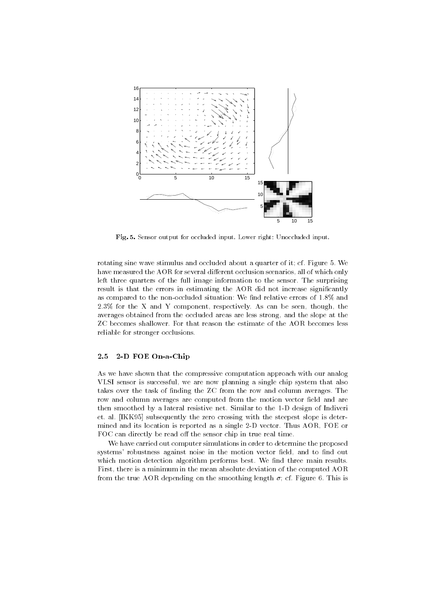

Fig. 5. Sensor output for occluded input. Lower right: Unoccluded input.

rotating sine wave stimulus and occluded about a quarter of it; cf. Figure 5. We have measured the AOR for several different occlusion scenarios, all of which only left three quarters of the full image information to the sensor. The surprising result is that the errors in estimating the AOR did not increase significantly as compared to the non-occluded situation: We find relative errors of 1.8% and 2.3% for the X and Y component, respectively. As can be seen, though, the averages obtained from the occluded areas are less strong, and the slope at the ZC becomes shallower. For that reason the estimate of the AOR becomes less reliable for stronger occlusions.

## 2.5 2-D FOE On-a-Chip

As we have shown that the compressive computation approach with our analog VLSI sensor is successful, we are now planning a single chip system that also takes over the task of finding the ZC from the row and column averages. The row and column averages are computed from the motion vector field and are then smoothed by a lateral resistive net. Similar to the 1-D design of Indiveri et. al. [IKK95] subsequently the zero crossing with the steepest slope is determined and its location is reported as a single 2-D vector. Thus AOR, FOE or FOC can directly be read off the sensor chip in true real time.

We have carried out computer simulations in order to determine the proposed systems' robustness against noise in the motion vector field, and to find out which motion detection algorithm performs best. We find three main results. First, there is a minimum in the mean absolute deviation of the computed AOR from the true AOR depending on the smoothing length  $\sigma$ ; cf. Figure 6. This is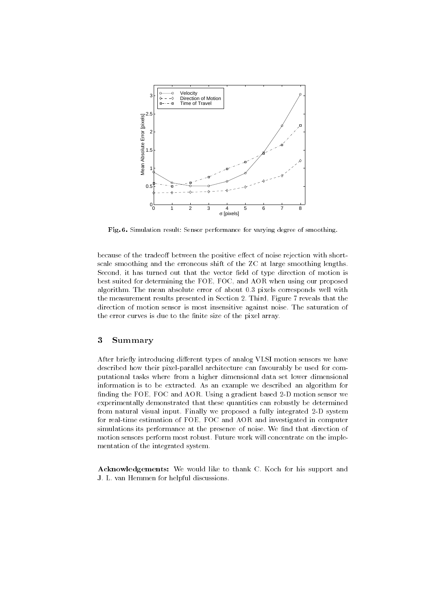

Fig. 6. Simulation result: Sensor performance for varying degree of smoothing.

because of the tradeoff between the positive effect of noise rejection with shortscale smoothing and the erroneous shift of the ZC at large smoothing lengths. Second, it has turned out that the vector field of type direction of motion is best suited for determining the FOE, FOC, and AOR when using our proposed algorithm. The mean absolute error of about 0.3 pixels corresponds well with the measurement results presented in Section 2. Third, Figure 7 reveals that the direction of motion sensor is most insensitive against noise. The saturation of the error curves is due to the finite size of the pixel array.

# 3 Summary

After briefly introducing different types of analog VLSI motion sensors we have described how their pixel-parallel architecture can favourably be used for computational tasks where from a higher dimensional data set lower dimensional information is to be extracted. As an example we described an algorithm for finding the FOE, FOC and AOR. Using a gradient based 2-D motion sensor we experimentally demonstrated that these quantities can robustly be determined from natural visual input. Finally we proposed a fully integrated 2-D system for real-time estimation of FOE, FOC and AOR and investigated in computer simulations its performance at the presence of noise. We find that direction of motion sensors perform most robust. Future work will concentrate on the imple mentation of the integrated system.

Acknowledgements: We would like to thank C. Koch for his support and J. L. van Hemmen for helpful discussions.